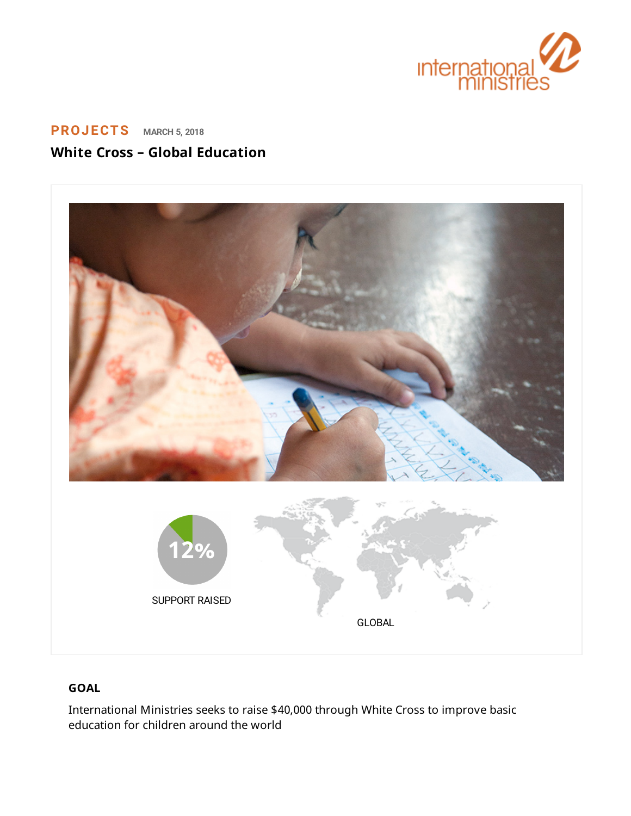

# **[PROJECTS](https://www.internationalministries.org/category/projects/) MARCH 5, <sup>2018</sup> White Cross – Global Education**



# **GOAL**

International Ministries seeks to raise \$40,000 through White Cross to improve basic education for children around the world